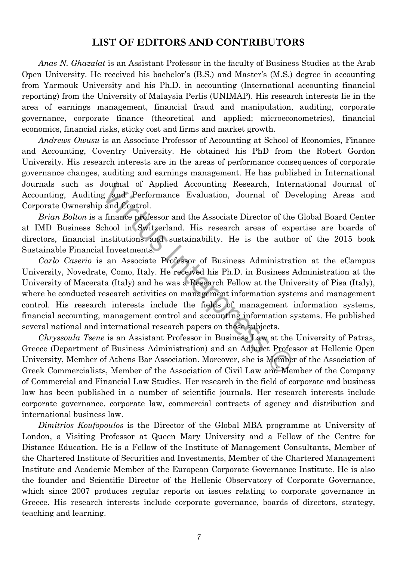## **LIST OF EDITORS AND CONTRIBUTORS**

*Anas N. Ghazalat* is an Assistant Professor in the faculty of Business Studies at the Arab Open University. He received his bachelor's (B.S.) and Master's (M.S.) degree in accounting from Yarmouk University and his Ph.D. in accounting (International accounting financial reporting) from the University of Malaysia Perlis (UNIMAP). His research interests lie in the area of earnings management, financial fraud and manipulation, auditing, corporate governance, corporate finance (theoretical and applied; microeconometrics), financial economics, financial risks, sticky cost and firms and market growth.

*Andrews Owusu* is an Associate Professor of Accounting at School of Economics, Finance and Accounting, Coventry University. He obtained his PhD from the Robert Gordon University. His research interests are in the areas of performance consequences of corporate governance changes, auditing and earnings management. He has published in International Journals such as Journal of Applied Accounting Research, International Journal of Accounting, Auditing and Performance Evaluation, Journal of Developing Areas and Corporate Ownership and Control.

*Brian Bolton* is a finance professor and the Associate Director of the Global Board Center at IMD Business School in Switzerland. His research areas of expertise are boards of directors, financial institutions and sustainability. He is the author of the 2015 book Sustainable Financial Investments.

*Carlo Caserio* is an Associate Professor of Business Administration at the eCampus University, Novedrate, Como, Italy. He received his Ph.D. in Business Administration at the University of Macerata (Italy) and he was a Research Fellow at the University of Pisa (Italy), where he conducted research activities on management information systems and management control. His research interests include the fields of management information systems, financial accounting, management control and accounting information systems. He published several national and international research papers on those subjects. Journal of Applied Accounting Research, Inter<br>
g and Performance Evaluation, Journal of De<br>
and Control.<br>
finance professor and the Associate Director of the<br>
chool in Switzerland. His research areas of exp<br>
institutions a

*Chryssoula Tsene* is an Assistant Professor in Business Law at the University of Patras, Greece (Department of Business Administration) and an Adjunct Professor at Hellenic Open University, Member of Athens Bar Association. Μοreover, she is Member of the Association of Greek Commercialists, Member of the Association of Civil Law and Member of the Company of Commercial and Financial Law Studies. Her research in the field of corporate and business law has been published in a number of scientific journals. Her research interests include corporate governance, corporate law, commercial contracts of agency and distribution and international business law.

*Dimitrios Koufopoulos* is the Director of the Global MBA programme at University of London, a Visiting Professor at Queen Mary University and a Fellow of the Centre for Distance Education. He is a Fellow of the Institute of Management Consultants, Member of the Chartered Institute of Securities and Investments, Member of the Chartered Management Institute and Academic Member of the European Corporate Governance Institute. He is also the founder and Scientific Director of the Hellenic Observatory of Corporate Governance, which since 2007 produces regular reports on issues relating to corporate governance in Greece. His research interests include corporate governance, boards of directors, strategy, teaching and learning.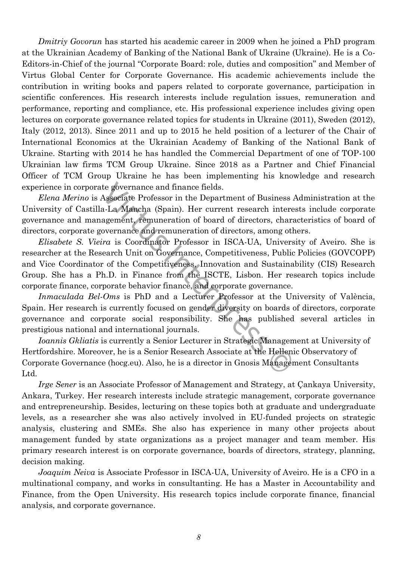*Dmitriy Govorun* has started his academic career in 2009 when he joined a PhD program at the Ukrainian Academy of Banking of the National Bank of Ukraine (Ukraine). He is a Co-Editors-in-Chief of the journal "Corporate Board: role, duties and composition" and Member of Virtus Global Center for Corporate Governance. His academic achievements include the contribution in writing books and papers related to corporate governance, participation in scientific conferences. His research interests include regulation issues, remuneration and performance, reporting and compliance, etc. His professional experience includes giving open lectures on corporate governance related topics for students in Ukraine (2011), Sweden (2012), Italy (2012, 2013). Since 2011 and up to 2015 he held position of a lecturer of the Chair of International Economics at the Ukrainian Academy of Banking of the National Bank of Ukraine. Starting with 2014 he has handled the Commercial Department of one of TOP-100 Ukrainian law firms TCM Group Ukraine. Since 2018 as a Partner and Chief Financial Officer of TCM Group Ukraine he has been implementing his knowledge and research experience in corporate governance and finance fields.

*Elena Merino* is Associate Professor in the Department of Business Administration at the University of Castilla-La Mancha (Spain). Her current research interests include corporate governance and management, remuneration of board of directors, characteristics of board of directors, corporate governance and remuneration of directors, among others.

*Elisabete S. Vieira* is Coordinator Professor in ISCA-UA, University of Aveiro. She is researcher at the Research Unit on Governance, Competitiveness, Public Policies (GOVCOPP) and Vice Coordinator of the Competitiveness, Innovation and Sustainability (CIS) Research Group. She has a Ph.D. in Finance from the ISCTE, Lisbon. Her research topics include corporate finance, corporate behavior finance, and corporate governance. te governance and finance fields.<br>Associate Professor in the Department of Business a-La Mancha (Spain). Her current research intereagement, remuneration of board of directors, characeovernance and remuneration of director

*Inmaculada Bel-Oms* is PhD and a Lecturer Professor at the University of València, Spain. Her research is currently focused on gender diversity on boards of directors, corporate governance and corporate social responsibility. She has published several articles in prestigious national and international journals.

*Ioannis Gkliatis* is currently a Senior Lecturer in Strategic Management at University of Hertfordshire. Moreover, he is a Senior Research Associate at the Hellenic Observatory of Corporate Governance (hocg.eu). Also, he is a director in Gnosis Management Consultants Ltd.

*Irge Sener* is an Associate Professor of Management and Strategy, at Çankaya University, Ankara, Turkey. Her research interests include strategic management, corporate governance and entrepreneurship. Besides, lecturing on these topics both at graduate and undergraduate levels, as a researcher she was also actively involved in EU-funded projects on strategic analysis, clustering and SMEs. She also has experience in many other projects about management funded by state organizations as a project manager and team member. His primary research interest is on corporate governance, boards of directors, strategy, planning, decision making.

*Joaquim Neiva* is Associate Professor in ISCA-UA, University of Aveiro. He is a CFO in a multinational company, and works in consultanting. He has a Master in Accountability and Finance, from the Open University. His research topics include corporate finance, financial analysis, and corporate governance.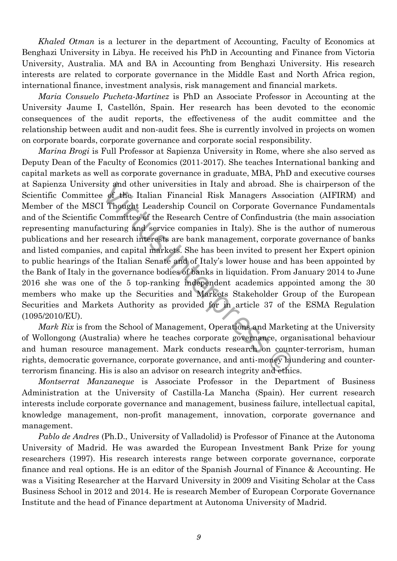*Khaled Otman* is a lecturer in the department of Accounting, Faculty of Economics at Benghazi University in Libya. He received his PhD in Accounting and Finance from Victoria University, Australia. MA and BA in Accounting from Benghazi University. His research interests are related to corporate governance in the Middle East and North Africa region, international finance, investment analysis, risk management and financial markets.

*Maria Consuelo Pucheta-Martinez* is PhD an Associate Professor in Accounting at the University Jaume I, Castellón, Spain. Her research has been devoted to the economic consequences of the audit reports, the effectiveness of the audit committee and the relationship between audit and non-audit fees. She is currently involved in projects on women on corporate boards, corporate governance and corporate social responsibility.

*Marina Brogi* is Full Professor at Sapienza University in Rome, where she also served as Deputy Dean of the Faculty of Economics (2011-2017). She teaches International banking and capital markets as well as corporate governance in graduate, MBA, PhD and executive courses at Sapienza University and other universities in Italy and abroad. She is chairperson of the Scientific Committee of the Italian Financial Risk Managers Association (AIFIRM) and Member of the MSCI Thought Leadership Council on Corporate Governance Fundamentals and of the Scientific Committee of the Research Centre of Confindustria (the main association representing manufacturing and service companies in Italy). She is the author of numerous publications and her research interests are bank management, corporate governance of banks and listed companies, and capital markets. She has been invited to present her Expert opinion to public hearings of the Italian Senate and of Italy's lower house and has been appointed by the Bank of Italy in the governance bodies of banks in liquidation. From January 2014 to June 2016 she was one of the 5 top-ranking independent academics appointed among the 30 members who make up the Securities and Markets Stakeholder Group of the European Securities and Markets Authority as provided for in article 37 of the ESMA Regulation (1095/2010/EU). ty and other universities in Italy and abroad. She<br>
is of the Italian Financial Risk Managers Associ<br>
I Thought Leadership Council on Corporate Gover<br>
Committee of the Research Centre of Confindustria<br>
cturing and service

*Mark Rix* is from the School of Management, Operations and Marketing at the University of Wollongong (Australia) where he teaches corporate governance, organisational behaviour and human resource management. Mark conducts research on counter-terrorism, human rights, democratic governance, corporate governance, and anti-money laundering and counterterrorism financing. His is also an advisor on research integrity and ethics.

*Montserrat Manzaneque* is Associate Professor in the Department of Business Administration at the University of Castilla-La Mancha (Spain). Her current research interests include corporate governance and management, business failure, intellectual capital, knowledge management, non-profit management, innovation, corporate governance and management.

*Pablo de Andres* (Ph.D., University of Valladolid) is Professor of Finance at the Autonoma University of Madrid. He was awarded the European Investment Bank Prize for young researchers (1997). His research interests range between corporate governance, corporate finance and real options. He is an editor of the Spanish Journal of Finance & Accounting. He was a Visiting Researcher at the Harvard University in 2009 and Visiting Scholar at the Cass Business School in 2012 and 2014. He is research Member of European Corporate Governance Institute and the head of Finance department at Autonoma University of Madrid.